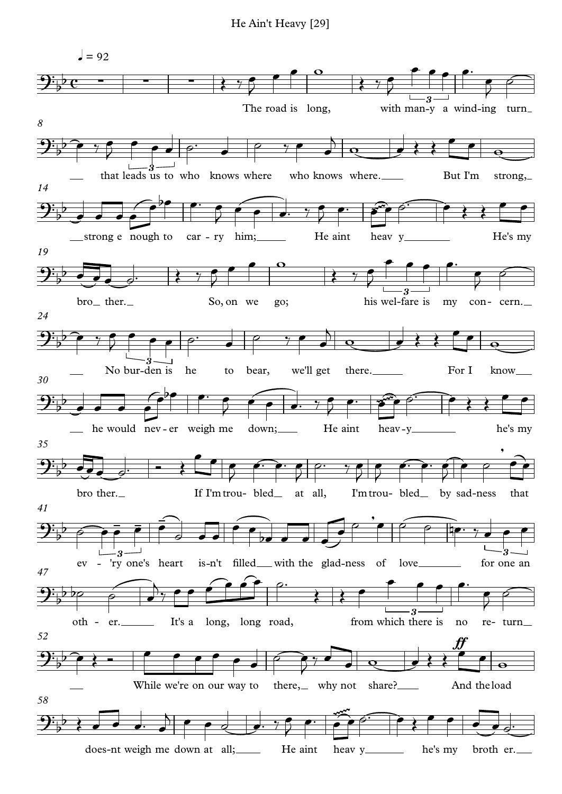He Ain't Heavy [29]